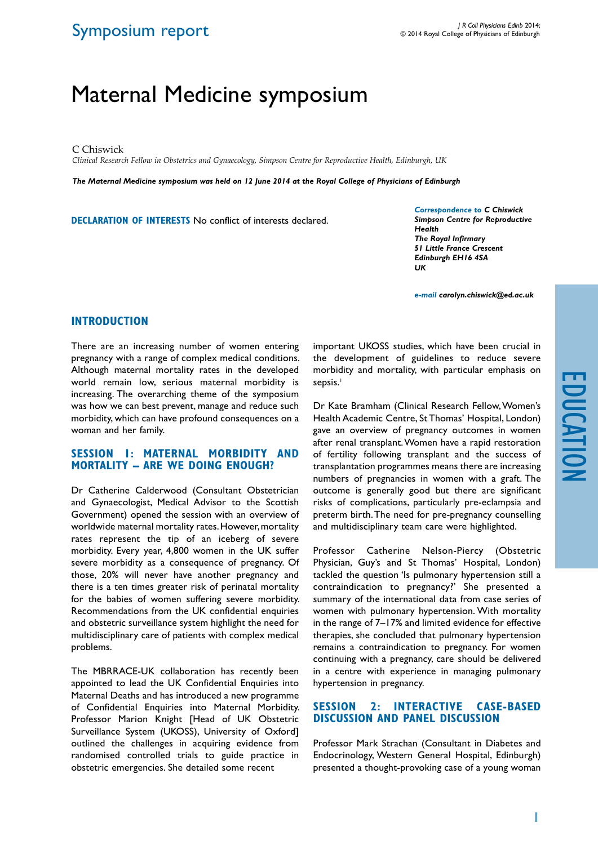# Maternal Medicine symposium

C Chiswick

*Clinical Research Fellow in Obstetrics and Gynaecology, Simpson Centre for Reproductive Health, Edinburgh, UK*

*The Maternal Medicine symposium was held on 12 June 2014 at the Royal College of Physicians of Edinburgh*

**DECLARATION OF INTERESTS** No conflict of interests declared.

*Correspondence to C Chiswick Simpson Centre for Reproductive Health The Royal Infirmary 51 Little France Crescent Edinburgh EH16 4SA UK*

*e-mail carolyn.chiswick@ed.ac.uk*

#### **Introduction**

There are an increasing number of women entering pregnancy with a range of complex medical conditions. Although maternal mortality rates in the developed world remain low, serious maternal morbidity is increasing. The overarching theme of the symposium was how we can best prevent, manage and reduce such morbidity, which can have profound consequences on a woman and her family.

#### **Session 1: Maternal morbidity and mortality – are we doing enough?**

Dr Catherine Calderwood (Consultant Obstetrician and Gynaecologist, Medical Advisor to the Scottish Government) opened the session with an overview of worldwide maternal mortality rates. However, mortality rates represent the tip of an iceberg of severe morbidity. Every year, 4,800 women in the UK suffer severe morbidity as a consequence of pregnancy. Of those, 20% will never have another pregnancy and there is a ten times greater risk of perinatal mortality for the babies of women suffering severe morbidity. Recommendations from the UK confidential enquiries and obstetric surveillance system highlight the need for multidisciplinary care of patients with complex medical problems.

The MBRRACE-UK collaboration has recently been appointed to lead the UK Confidential Enquiries into Maternal Deaths and has introduced a new programme of Confidential Enquiries into Maternal Morbidity. Professor Marion Knight [Head of UK Obstetric Surveillance System (UKOSS), University of Oxford] outlined the challenges in acquiring evidence from randomised controlled trials to guide practice in obstetric emergencies. She detailed some recent

important UKOSS studies, which have been crucial in the development of guidelines to reduce severe morbidity and mortality, with particular emphasis on sepsis.<sup>1</sup>

Dr Kate Bramham (Clinical Research Fellow, Women's Health Academic Centre, St Thomas' Hospital, London) gave an overview of pregnancy outcomes in women after renal transplant. Women have a rapid restoration of fertility following transplant and the success of transplantation programmes means there are increasing numbers of pregnancies in women with a graft. The outcome is generally good but there are significant risks of complications, particularly pre-eclampsia and preterm birth. The need for pre-pregnancy counselling and multidisciplinary team care were highlighted.

Professor Catherine Nelson-Piercy (Obstetric Physician, Guy's and St Thomas' Hospital, London) tackled the question 'Is pulmonary hypertension still a contraindication to pregnancy?' She presented a summary of the international data from case series of women with pulmonary hypertension. With mortality in the range of 7–17% and limited evidence for effective therapies, she concluded that pulmonary hypertension remains a contraindication to pregnancy. For women continuing with a pregnancy, care should be delivered in a centre with experience in managing pulmonary hypertension in pregnancy.

## **Session 2: Interactive case-based discussion and panel discussion**

Professor Mark Strachan (Consultant in Diabetes and Endocrinology, Western General Hospital, Edinburgh) presented a thought-provoking case of a young woman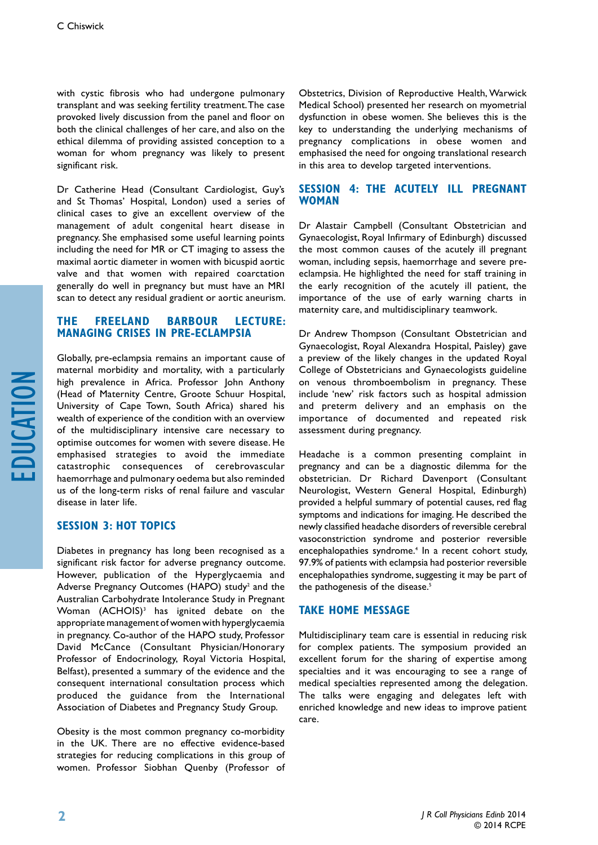with cystic fibrosis who had undergone pulmonary transplant and was seeking fertility treatment. The case provoked lively discussion from the panel and floor on both the clinical challenges of her care, and also on the ethical dilemma of providing assisted conception to a woman for whom pregnancy was likely to present significant risk.

Dr Catherine Head (Consultant Cardiologist, Guy's and St Thomas' Hospital, London) used a series of clinical cases to give an excellent overview of the management of adult congenital heart disease in pregnancy. She emphasised some useful learning points including the need for MR or CT imaging to assess the maximal aortic diameter in women with bicuspid aortic valve and that women with repaired coarctation generally do well in pregnancy but must have an MRI scan to detect any residual gradient or aortic aneurism.

#### **The Freeland Barbour Lecture: Managing crises in pre-eclampsia**

Globally, pre-eclampsia remains an important cause of maternal morbidity and mortality, with a particularly high prevalence in Africa. Professor John Anthony (Head of Maternity Centre, Groote Schuur Hospital, University of Cape Town, South Africa) shared his wealth of experience of the condition with an overview of the multidisciplinary intensive care necessary to optimise outcomes for women with severe disease. He emphasised strategies to avoid the immediate catastrophic consequences of cerebrovascular haemorrhage and pulmonary oedema but also reminded us of the long-term risks of renal failure and vascular disease in later life.

#### **Session 3: Hot Topics**

Diabetes in pregnancy has long been recognised as a significant risk factor for adverse pregnancy outcome. However, publication of the Hyperglycaemia and Adverse Pregnancy Outcomes (HAPO) study<sup>2</sup> and the Australian Carbohydrate Intolerance Study in Pregnant Woman (ACHOIS)<sup>3</sup> has ignited debate on the appropriate management of women with hyperglycaemia in pregnancy. Co-author of the HAPO study, Professor David McCance (Consultant Physician/Honorary Professor of Endocrinology, Royal Victoria Hospital, Belfast), presented a summary of the evidence and the consequent international consultation process which produced the guidance from the International Association of Diabetes and Pregnancy Study Group.

Obesity is the most common pregnancy co-morbidity in the UK. There are no effective evidence-based strategies for reducing complications in this group of women. Professor Siobhan Quenby (Professor of

Obstetrics, Division of Reproductive Health, Warwick Medical School) presented her research on myometrial dysfunction in obese women. She believes this is the key to understanding the underlying mechanisms of pregnancy complications in obese women and emphasised the need for ongoing translational research in this area to develop targeted interventions.

## **Session 4: The acutely ill pregnant woman**

Dr Alastair Campbell (Consultant Obstetrician and Gynaecologist, Royal Infirmary of Edinburgh) discussed the most common causes of the acutely ill pregnant woman, including sepsis, haemorrhage and severe preeclampsia. He highlighted the need for staff training in the early recognition of the acutely ill patient, the importance of the use of early warning charts in maternity care, and multidisciplinary teamwork.

Dr Andrew Thompson (Consultant Obstetrician and Gynaecologist, Royal Alexandra Hospital, Paisley) gave a preview of the likely changes in the updated Royal College of Obstetricians and Gynaecologists guideline on venous thromboembolism in pregnancy. These include 'new' risk factors such as hospital admission and preterm delivery and an emphasis on the importance of documented and repeated risk assessment during pregnancy.

Headache is a common presenting complaint in pregnancy and can be a diagnostic dilemma for the obstetrician. Dr Richard Davenport (Consultant Neurologist, Western General Hospital, Edinburgh) provided a helpful summary of potential causes, red flag symptoms and indications for imaging. He described the newly classified headache disorders of reversible cerebral vasoconstriction syndrome and posterior reversible encephalopathies syndrome.<sup>4</sup> In a recent cohort study, 97.9% of patients with eclampsia had posterior reversible encephalopathies syndrome, suggesting it may be part of the pathogenesis of the disease.<sup>5</sup>

#### **Take home message**

Multidisciplinary team care is essential in reducing risk for complex patients. The symposium provided an excellent forum for the sharing of expertise among specialties and it was encouraging to see a range of medical specialties represented among the delegation. The talks were engaging and delegates left with enriched knowledge and new ideas to improve patient care.

education